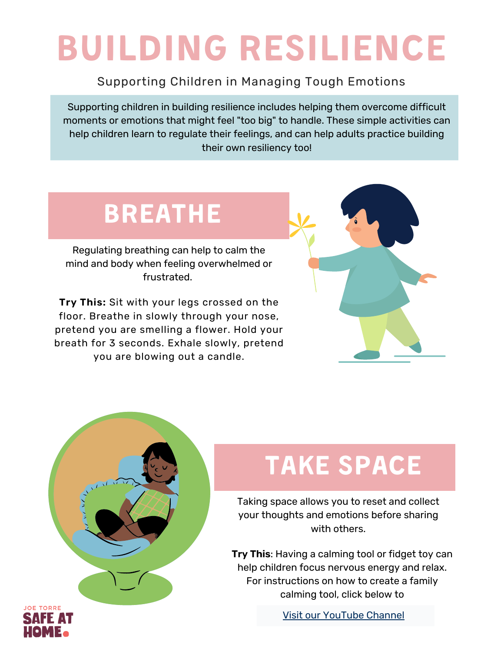# BUILDING RESILIENCE

#### Supporting Children in Managing Tough Emotions

Supporting children in building resilience includes helping them overcome difficult moments or emotions that might feel "too big" to handle. These simple activities can help children learn to regulate their feelings, and can help adults practice building their own resiliency too!

### BREATHE

Regulating breathing can help to calm the mind and body when feeling overwhelmed or frustrated.

**Try This:** Sit with your legs crossed on the floor. Breathe in slowly through your nose, pretend you are smelling a flower. Hold your breath for 3 seconds. Exhale slowly, pretend you are blowing out a candle.





## TAKE SPACE

Taking space allows you to reset and collect your thoughts and emotions before sharing with others.

**Try This**: Having a calming tool or fidget toy can help children focus nervous energy and relax. For instructions on how to create a family calming tool, click below to

Visit our [YouTube](https://www.youtube.com/watch?v=Ho-nJEze8kk) Channel